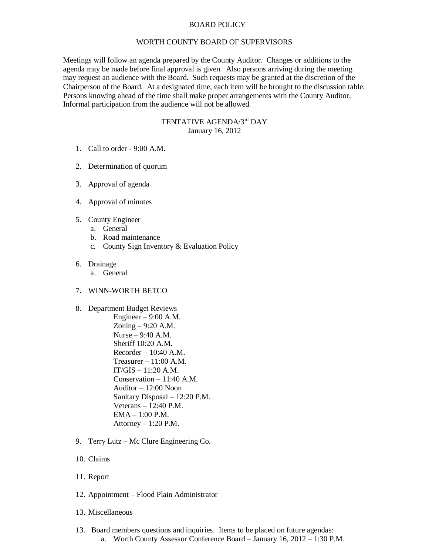## BOARD POLICY

## WORTH COUNTY BOARD OF SUPERVISORS

Meetings will follow an agenda prepared by the County Auditor. Changes or additions to the agenda may be made before final approval is given. Also persons arriving during the meeting may request an audience with the Board. Such requests may be granted at the discretion of the Chairperson of the Board. At a designated time, each item will be brought to the discussion table. Persons knowing ahead of the time shall make proper arrangements with the County Auditor. Informal participation from the audience will not be allowed.

## TENTATIVE AGENDA/3<sup>rd</sup> DAY January 16, 2012

- 1. Call to order 9:00 A.M.
- 2. Determination of quorum
- 3. Approval of agenda
- 4. Approval of minutes
- 5. County Engineer
	- a. General
	- b. Road maintenance
	- c. County Sign Inventory & Evaluation Policy
- 6. Drainage
	- a. General
- 7. WINN-WORTH BETCO
- 8. Department Budget Reviews

Engineer  $-9:00$  A.M. Zoning – 9:20 A.M. Nurse – 9:40 A.M. Sheriff 10:20 A.M. Recorder – 10:40 A.M. Treasurer – 11:00 A.M.  $IT/GIS - 11:20 A.M.$ Conservation – 11:40 A.M. Auditor – 12:00 Noon Sanitary Disposal – 12:20 P.M. Veterans – 12:40 P.M. EMA – 1:00 P.M. Attorney  $-1:20$  P.M.

- 9. Terry Lutz Mc Clure Engineering Co.
- 10. Claims
- 11. Report
- 12. Appointment Flood Plain Administrator
- 13. Miscellaneous
- 13. Board members questions and inquiries. Items to be placed on future agendas: a. Worth County Assessor Conference Board – January 16, 2012 – 1:30 P.M.